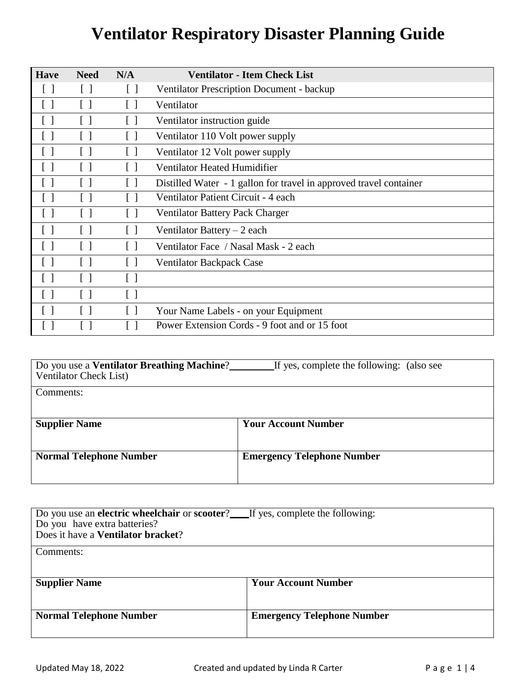| <b>Have</b>       | <b>Need</b>       | N/A                             | <b>Ventilator - Item Check List</b>                                |
|-------------------|-------------------|---------------------------------|--------------------------------------------------------------------|
|                   | $[\ ]$            | $[\ ]$                          | <b>Ventilator Prescription Document - backup</b>                   |
|                   | $\lceil$ 1        | [ ]                             | Ventilator                                                         |
|                   | $\lceil$ 1        | $\lceil$ $\rceil$               | Ventilator instruction guide                                       |
| $\lceil$ 1        | $\Box$            | [ ]                             | Ventilator 110 Volt power supply                                   |
|                   | $\lceil$ 1        | $[\,\,]$                        | Ventilator 12 Volt power supply                                    |
| $\lceil$ $\rceil$ | $\lceil$ $\rceil$ | $\Box$                          | <b>Ventilator Heated Humidifier</b>                                |
| $\lceil$ $\rceil$ | $\lceil$ $\rceil$ | $\Box$                          | Distilled Water - 1 gallon for travel in approved travel container |
| $\Box$            |                   |                                 | Ventilator Patient Circuit - 4 each                                |
|                   |                   | $\lceil$ 1                      | <b>Ventilator Battery Pack Charger</b>                             |
| $\lceil$ 1        | $\Box$            | $\begin{bmatrix} \end{bmatrix}$ | Ventilator Battery $-2$ each                                       |
| $\lceil$ $\rceil$ | $\lceil$ $\rceil$ | $\lceil$ 1                      | Ventilator Face / Nasal Mask - 2 each                              |
| $\lceil$ $\rceil$ | $\lceil$ $\rceil$ | $\lceil$ $\rceil$               | <b>Ventilator Backpack Case</b>                                    |
| $\lceil$ 1        | $\Box$            | $\lceil$ $\rceil$               |                                                                    |
| $\lceil$ $\rceil$ | $\lceil$ 1        | $\lceil$ 1                      |                                                                    |
|                   | $\Box$            | $\lceil$ $\rceil$               | Your Name Labels - on your Equipment                               |
|                   |                   |                                 | Power Extension Cords - 9 foot and or 15 foot                      |

| Do you use a <b>Ventilator Breathing Machine</b> ?<br><b>Ventilator Check List</b> ) | If yes, complete the following: (also see |  |  |
|--------------------------------------------------------------------------------------|-------------------------------------------|--|--|
| Comments:                                                                            |                                           |  |  |
| <b>Supplier Name</b>                                                                 | <b>Your Account Number</b>                |  |  |
| <b>Normal Telephone Number</b>                                                       | <b>Emergency Telephone Number</b>         |  |  |

| Do you use an <b>electric wheelchair</b> or <b>scooter</b> ? If yes, complete the following:<br>Do you have extra batteries?<br>Does it have a Ventilator bracket? |                                   |  |  |
|--------------------------------------------------------------------------------------------------------------------------------------------------------------------|-----------------------------------|--|--|
| Comments:                                                                                                                                                          |                                   |  |  |
| <b>Supplier Name</b>                                                                                                                                               | <b>Your Account Number</b>        |  |  |
| <b>Normal Telephone Number</b>                                                                                                                                     | <b>Emergency Telephone Number</b> |  |  |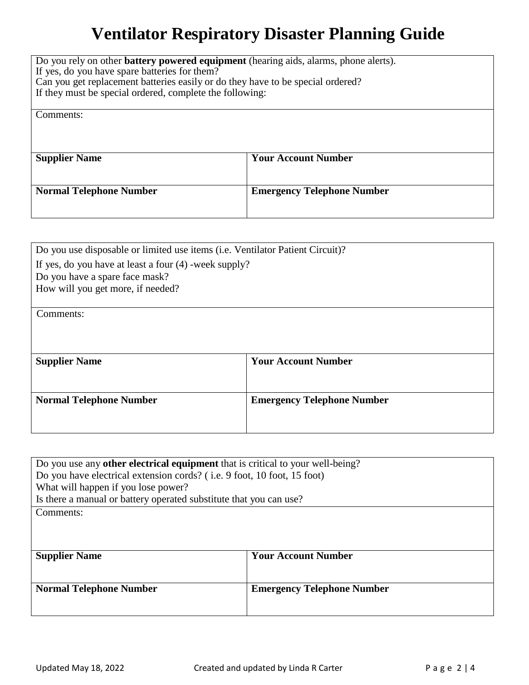| Do you rely on other <b>battery powered equipment</b> (hearing aids, alarms, phone alerts).<br>If yes, do you have spare batteries for them?<br>Can you get replacement batteries easily or do they have to be special ordered?<br>If they must be special ordered, complete the following: |                                   |  |  |  |
|---------------------------------------------------------------------------------------------------------------------------------------------------------------------------------------------------------------------------------------------------------------------------------------------|-----------------------------------|--|--|--|
| Comments:                                                                                                                                                                                                                                                                                   |                                   |  |  |  |
|                                                                                                                                                                                                                                                                                             |                                   |  |  |  |
| <b>Supplier Name</b>                                                                                                                                                                                                                                                                        | <b>Your Account Number</b>        |  |  |  |
|                                                                                                                                                                                                                                                                                             |                                   |  |  |  |
| <b>Normal Telephone Number</b>                                                                                                                                                                                                                                                              | <b>Emergency Telephone Number</b> |  |  |  |
|                                                                                                                                                                                                                                                                                             |                                   |  |  |  |

| Do you use disposable or limited use items (i.e. Ventilator Patient Circuit)? |                                   |  |  |  |  |
|-------------------------------------------------------------------------------|-----------------------------------|--|--|--|--|
| If yes, do you have at least a four $(4)$ -week supply?                       |                                   |  |  |  |  |
| Do you have a spare face mask?                                                |                                   |  |  |  |  |
| How will you get more, if needed?                                             |                                   |  |  |  |  |
|                                                                               |                                   |  |  |  |  |
| Comments:                                                                     |                                   |  |  |  |  |
|                                                                               |                                   |  |  |  |  |
|                                                                               |                                   |  |  |  |  |
| <b>Supplier Name</b>                                                          | <b>Your Account Number</b>        |  |  |  |  |
|                                                                               |                                   |  |  |  |  |
|                                                                               |                                   |  |  |  |  |
| <b>Normal Telephone Number</b>                                                | <b>Emergency Telephone Number</b> |  |  |  |  |
|                                                                               |                                   |  |  |  |  |
|                                                                               |                                   |  |  |  |  |

| Do you use any <b>other electrical equipment</b> that is critical to your well-being? |                                   |  |  |  |  |
|---------------------------------------------------------------------------------------|-----------------------------------|--|--|--|--|
| Do you have electrical extension cords? (i.e. 9 foot, 10 foot, 15 foot)               |                                   |  |  |  |  |
| What will happen if you lose power?                                                   |                                   |  |  |  |  |
| Is there a manual or battery operated substitute that you can use?                    |                                   |  |  |  |  |
| Comments:                                                                             |                                   |  |  |  |  |
|                                                                                       |                                   |  |  |  |  |
|                                                                                       |                                   |  |  |  |  |
|                                                                                       |                                   |  |  |  |  |
| <b>Supplier Name</b>                                                                  | <b>Your Account Number</b>        |  |  |  |  |
|                                                                                       |                                   |  |  |  |  |
| <b>Normal Telephone Number</b>                                                        | <b>Emergency Telephone Number</b> |  |  |  |  |
|                                                                                       |                                   |  |  |  |  |
|                                                                                       |                                   |  |  |  |  |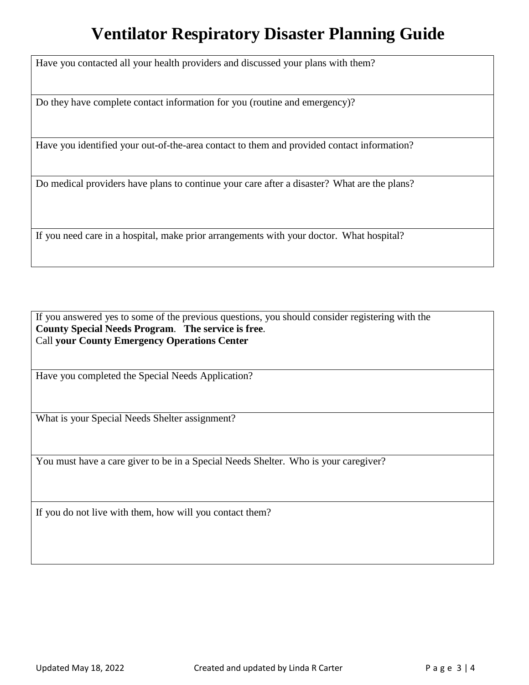Have you contacted all your health providers and discussed your plans with them?

Do they have complete contact information for you (routine and emergency)?

Have you identified your out-of-the-area contact to them and provided contact information?

Do medical providers have plans to continue your care after a disaster? What are the plans?

If you need care in a hospital, make prior arrangements with your doctor. What hospital?

If you answered yes to some of the previous questions, you should consider registering with the **County Special Needs Program**. **The service is free**. Call **your County Emergency Operations Center**

Have you completed the Special Needs Application?

What is your Special Needs Shelter assignment?

You must have a care giver to be in a Special Needs Shelter. Who is your caregiver?

If you do not live with them, how will you contact them?